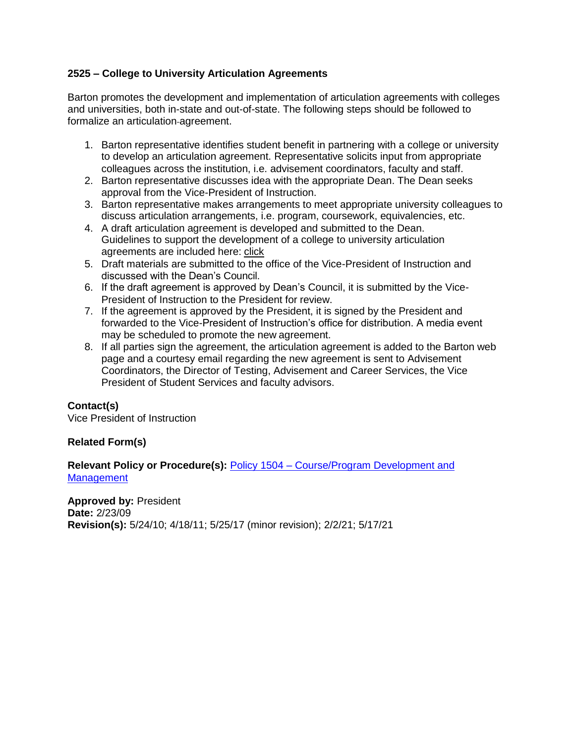## **2525 – College to University Articulation Agreements**

Barton promotes the development and implementation of articulation agreements with colleges and universities, both in-state and out-of-state. The following steps should be followed to formalize an articulation agreement.

- 1. Barton representative identifies student benefit in partnering with a college or university to develop an articulation agreement. Representative solicits input from appropriate colleagues across the institution, i.e. advisement coordinators, faculty and staff.
- 2. Barton representative discusses idea with the appropriate Dean. The Dean seeks approval from the Vice-President of Instruction.
- 3. Barton representative makes arrangements to meet appropriate university colleagues to discuss articulation arrangements, i.e. program, coursework, equivalencies, etc.
- 4. A draft articulation agreement is developed and submitted to the Dean. Guidelines to support the development of a college to university articulation agreements are included here: [click](#page-1-0)
- 5. Draft materials are submitted to the office of the Vice-President of Instruction and discussed with the Dean's Council.
- 6. If the draft agreement is approved by Dean's Council, it is submitted by the Vice-President of Instruction to the President for review.
- 7. If the agreement is approved by the President, it is signed by the President and forwarded to the Vice-President of Instruction's office for distribution. A media event may be scheduled to promote the new agreement.
- 8. If all parties sign the agreement, the articulation agreement is added to the Barton web page and a courtesy email regarding the new agreement is sent to Advisement Coordinators, the Director of Testing, Advisement and Career Services, the Vice President of Student Services and faculty advisors.

## **Contact(s)**

Vice President of Instruction

## **Related Form(s)**

**Relevant Policy or Procedure(s):** Policy 1504 – [Course/Program Development and](http://docs.bartonccc.edu/policies/1504-courseproramdevelopmentandmanagement.pdf) **[Management](http://docs.bartonccc.edu/policies/1504-courseproramdevelopmentandmanagement.pdf)** 

**Approved by:** President **Date:** 2/23/09 **Revision(s):** 5/24/10; 4/18/11; 5/25/17 (minor revision); 2/2/21; 5/17/21